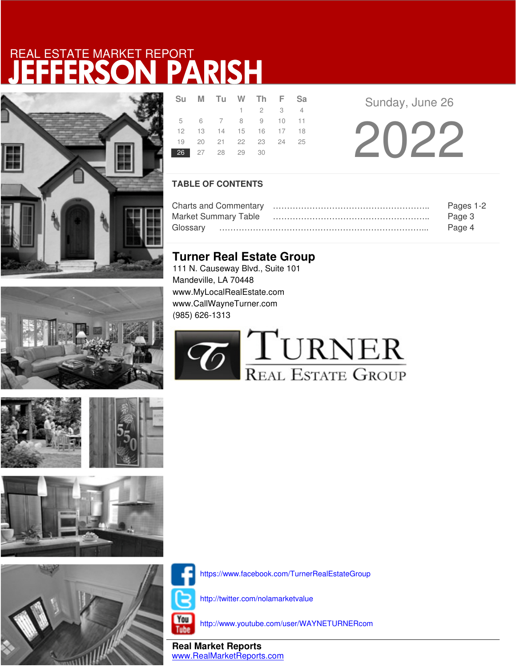







|                | Su M Tu W Th F Sa          |                 |  |
|----------------|----------------------------|-----------------|--|
|                |                            | $1 \t2 \t3 \t4$ |  |
|                | 5 6 7 8 9 10 11            |                 |  |
|                | 12  13  14  15  16  17  18 |                 |  |
|                | 19 20 21 22 23 24 25       |                 |  |
| 26 27 28 29 30 |                            |                 |  |

**R F Sunday**, June 26

20 22

### **TABLE OF CONTENTS**

|                             | Pages 1-2 |
|-----------------------------|-----------|
| <b>Market Summary Table</b> | Page 3    |
| Glossarv                    | Page 4    |

## **Turner Real Estate Group**

111 N. Causeway Blvd., Suite 101 Mandeville, LA 70448 www.MyLocalRealEstate.com www.CallWayneTurner.com (985) 626-1313





https://www.facebook.com/TurnerRealEstateGroup

http://twitter.com/nolamarketvalue

You Tube

http://www.youtube.com/user/WAYNETURNERcom

**Real Market Reports** www.RealMarketReports.com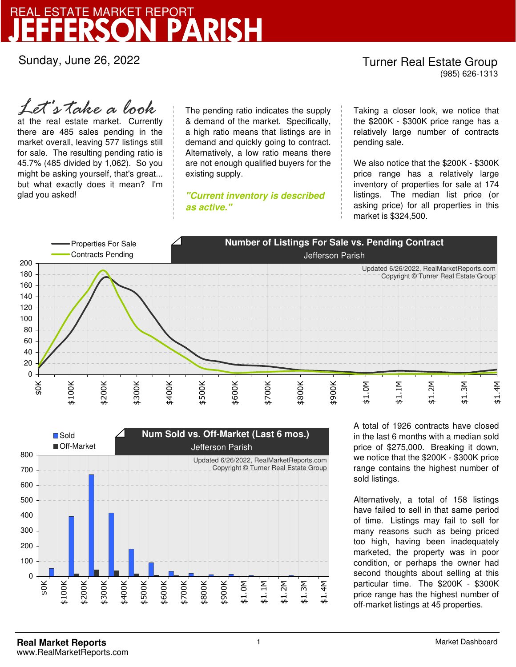Sunday, June 26, 2022

## Turner Real Estate Group

(985) 626-1313

at the real estate market. Currently there are 485 sales pending in the market overall, leaving 577 listings still for sale. The resulting pending ratio is 45.7% (485 divided by 1,062). So you might be asking yourself, that's great... but what exactly does it mean? I'm glad you asked! *Let's take a look*

The pending ratio indicates the supply & demand of the market. Specifically, a high ratio means that listings are in demand and quickly going to contract. Alternatively, a low ratio means there are not enough qualified buyers for the existing supply.

**"Current inventory is described as active."**

Taking a closer look, we notice that the \$200K - \$300K price range has a relatively large number of contracts pending sale.

We also notice that the \$200K - \$300K price range has a relatively large inventory of properties for sale at 174 listings. The median list price (or asking price) for all properties in this market is \$324,500.





A total of 1926 contracts have closed in the last 6 months with a median sold price of \$275,000. Breaking it down, we notice that the \$200K - \$300K price range contains the highest number of sold listings.

Alternatively, a total of 158 listings have failed to sell in that same period of time. Listings may fail to sell for many reasons such as being priced too high, having been inadequately marketed, the property was in poor condition, or perhaps the owner had second thoughts about selling at this particular time. The \$200K - \$300K price range has the highest number of off-market listings at 45 properties.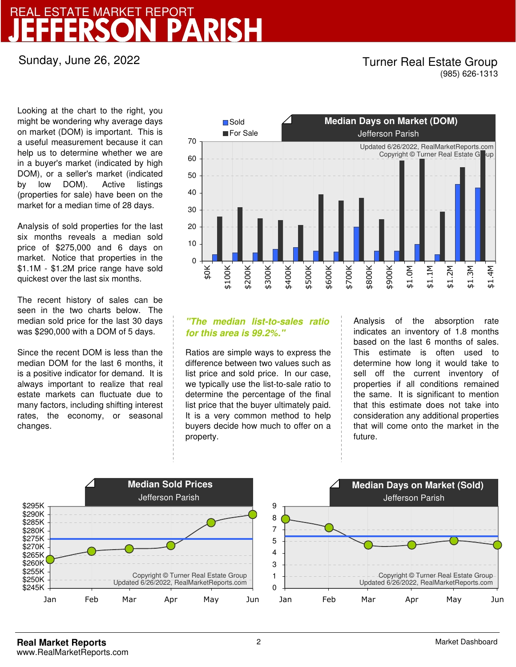Sunday, June 26, 2022

### Turner Real Estate Group (985) 626-1313

Looking at the chart to the right, you might be wondering why average days on market (DOM) is important. This is a useful measurement because it can help us to determine whether we are in a buyer's market (indicated by high DOM), or a seller's market (indicated by low DOM). Active listings (properties for sale) have been on the market for a median time of 28 days.

Analysis of sold properties for the last six months reveals a median sold price of \$275,000 and 6 days on market. Notice that properties in the \$1.1M - \$1.2M price range have sold quickest over the last six months.

The recent history of sales can be seen in the two charts below. The median sold price for the last 30 days was \$290,000 with a DOM of 5 days.

Since the recent DOM is less than the median DOM for the last 6 months, it is a positive indicator for demand. It is always important to realize that real estate markets can fluctuate due to many factors, including shifting interest rates, the economy, or seasonal changes.



### **"The median list-to-sales ratio for this area is 99.2%."**

Ratios are simple ways to express the difference between two values such as list price and sold price. In our case, we typically use the list-to-sale ratio to determine the percentage of the final list price that the buyer ultimately paid. It is a very common method to help buyers decide how much to offer on a property.

Analysis of the absorption rate indicates an inventory of 1.8 months based on the last 6 months of sales. This estimate is often used to determine how long it would take to sell off the current inventory of properties if all conditions remained the same. It is significant to mention that this estimate does not take into consideration any additional properties that will come onto the market in the future.

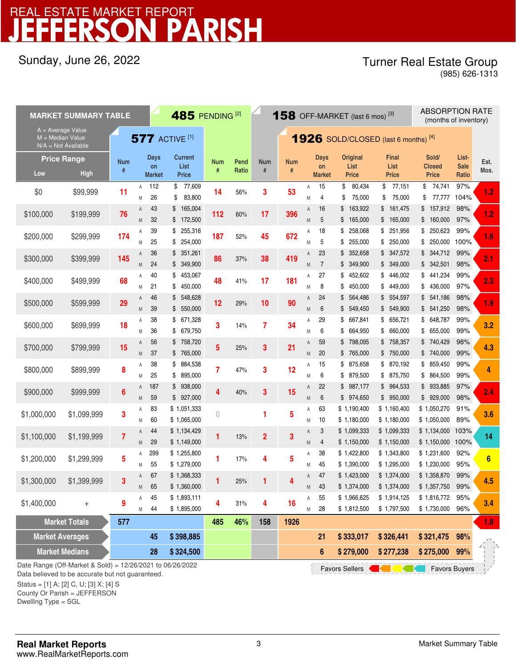## Sunday, June 26, 2022

## Turner Real Estate Group

(985) 626-1313

| <b>MARKET SUMMARY TABLE</b>                                    |                                                                                                                                                               |                 |                       |                             | 485 PENDING <sup>[2]</sup>             |                 |               | <b>158</b> OFF-MARKET (last 6 mos) <sup>[3]</sup> |                 |        |                             |                                         |                               | <b>ABSORPTION RATE</b><br>(months of inventory) |                                      |              |
|----------------------------------------------------------------|---------------------------------------------------------------------------------------------------------------------------------------------------------------|-----------------|-----------------------|-----------------------------|----------------------------------------|-----------------|---------------|---------------------------------------------------|-----------------|--------|-----------------------------|-----------------------------------------|-------------------------------|-------------------------------------------------|--------------------------------------|--------------|
| A = Average Value<br>M = Median Value<br>$N/A = Not Available$ |                                                                                                                                                               |                 | <b>577 ACTIVE [1]</b> |                             |                                        |                 |               | <b>1926</b> SOLD/CLOSED (last 6 months) $[4]$     |                 |        |                             |                                         |                               |                                                 |                                      |              |
| <b>Price Range</b><br>Low                                      | <b>High</b>                                                                                                                                                   | <b>Num</b><br># |                       | Days<br>on<br><b>Market</b> | <b>Current</b><br>List<br><b>Price</b> | <b>Num</b><br># | Pend<br>Ratio | <b>Num</b><br>#                                   | <b>Num</b><br># |        | Days<br>on<br><b>Market</b> | <b>Original</b><br>List<br><b>Price</b> | Final<br>List<br><b>Price</b> | Sold/<br><b>Closed</b><br><b>Price</b>          | List-<br><b>Sale</b><br><b>Ratio</b> | Est.<br>Mos. |
| \$0                                                            | \$99,999                                                                                                                                                      | 11              | Α<br>Μ                | 112<br>26                   | \$ 77,609<br>83,800<br>\$              | 14              | 56%           | 3                                                 | 53              | Α<br>Μ | 15<br>4                     | 80,434<br>\$<br>75,000<br>\$            | 77,151<br>\$<br>75,000<br>\$  | 74,741<br>\$<br>\$<br>77,777                    | 97%<br>104%                          | 1.2          |
| \$100,000                                                      | \$199,999                                                                                                                                                     | 76              | Α<br>M                | 43<br>32                    | 165,004<br>\$<br>\$172,500             | 112             | 60%           | 17                                                | 396             | Α<br>M | 16<br>5                     | 163,922<br>\$<br>\$<br>165,000          | \$161,475<br>\$165,000        | 157,912<br>\$<br>\$<br>160,000                  | 98%<br>97%                           | 1.2          |
| \$200,000                                                      | \$299,999                                                                                                                                                     | 174             | Α<br>M                | 39<br>25                    | \$255,316<br>254,000<br>\$             | 187             | 52%           | 45                                                | 672             | Α<br>M | 18<br>5                     | \$<br>258,068<br>255,000<br>\$          | \$ 251,956<br>\$250,000       | \$<br>250,623<br>250,000<br>\$                  | 99%<br>100%                          | 1.6          |
| \$300,000                                                      | \$399,999                                                                                                                                                     | 145             | Α<br>M                | 36<br>24                    | \$351,261<br>\$349,900                 | 86              | 37%           | 38                                                | 419             | Α<br>M | 23<br>$\overline{7}$        | \$<br>352,658<br>349,900<br>\$          | \$347,572<br>\$349,000        | 344,712<br>\$<br>342,501<br>\$                  | 99%<br>98%                           | 2.1          |
| \$400,000                                                      | \$499,999                                                                                                                                                     | 68              | Α<br>Μ                | 40<br>21                    | \$<br>453,067<br>\$<br>450,000         | 48              | 41%           | 17                                                | 181             | Α<br>M | 27<br>8                     | \$<br>452,602<br>450,000<br>\$          | \$<br>446,002<br>\$449,000    | 441,234<br>\$<br>436,000<br>\$                  | 99%<br>97%                           | 2.3          |
| \$500,000                                                      | \$599,999                                                                                                                                                     | 29              | A<br>M                | 46<br>39                    | \$548,628<br>550,000<br>\$             | 12              | 29%           | 10                                                | 90              | Α<br>M | 24<br>6                     | \$564,486<br>549,450<br>\$              | \$554,597<br>\$<br>549,900    | 541,186<br>\$<br>541,250<br>\$                  | 98%<br>98%                           | 1.9          |
| \$600,000                                                      | \$699,999                                                                                                                                                     | 18              | Α<br>Μ                | 38<br>36                    | 671,328<br>\$<br>\$<br>679,750         | 3               | 14%           | 7                                                 | 34              | Α<br>M | 29<br>6                     | \$<br>667,841<br>\$<br>664,950          | \$ 656,721<br>\$<br>660,000   | 648,787<br>\$<br>655,000<br>\$                  | 99%<br>99%                           | 3.2          |
| \$700,000                                                      | \$799,999                                                                                                                                                     | 15              | A<br>M                | 56<br>37                    | \$758,720<br>\$765,000                 | 5               | 25%           | 3                                                 | 21              | A<br>M | 59<br>20                    | 798,095<br>\$<br>\$765,000              | \$758,357<br>\$750,000        | 740,429<br>\$<br>\$740,000                      | 98%<br>99%                           | 4.3          |
| \$800,000                                                      | \$899,999                                                                                                                                                     | 8               | Α<br>M                | 38<br>25                    | 884,538<br>\$<br>895,000<br>\$         | 7               | 47%           | 3                                                 | 12              | Α<br>M | 15<br>6                     | \$<br>875,658<br>\$<br>879,500          | \$ 870,192<br>\$ 875,750      | 859,450<br>\$<br>864,500<br>\$                  | 99%<br>99%                           | 4            |
| \$900,000                                                      | \$999,999                                                                                                                                                     | 6               | A<br>M                | 187<br>59                   | \$938,000<br>\$927,000                 | 4               | 40%           | 3                                                 | 15              | A<br>M | 22<br>6                     | \$<br>987,177<br>\$974,650              | \$964,533<br>\$950,000        | 933,885<br>\$<br>929,000<br>\$                  | 97%<br>98%                           | 2.4          |
| \$1,000,000                                                    | \$1,099,999                                                                                                                                                   | 3               | Α<br>Μ                | 83<br>60                    | \$1,051,333<br>\$1,065,000             | 0               |               | 1                                                 | 5               | Α<br>Μ | 63<br>10                    | \$1,190,400<br>\$1,180,000              | \$1,160,400<br>\$1,180,000    | \$1,050,270<br>\$1,050,000                      | 91%<br>89%                           | 3.6          |
| \$1,100,000                                                    | \$1,199,999                                                                                                                                                   | 7               | Α<br>M                | 44<br>29                    | \$1,134,429<br>\$1,149,000             | 1               | 13%           | $\overline{2}$                                    | 3               | Α<br>M | 3<br>$\overline{4}$         | \$1,099,333<br>\$1,150,000              | \$1,099,333<br>\$1,150,000    | \$1,134,000<br>\$1,150,000                      | 103%<br>100%                         | 14           |
| \$1,200,000                                                    | \$1,299,999                                                                                                                                                   | 5               | Α<br>M                | 299<br>55                   | \$1,255,800<br>\$1,279,000             | 1               | 17%           | 4                                                 | 5               | Α<br>M | 38<br>45                    | \$1,422,800<br>\$1,390,000              | \$1,343,800<br>\$1,295,000    | \$1,231,600<br>\$1,230,000                      | 92%<br>95%                           | 6            |
| \$1,300,000                                                    | \$1,399,999                                                                                                                                                   | 3               | A<br>M                | 67<br>65                    | \$1,368,333<br>\$1,360,000             |                 | 25%           |                                                   | Δ               | A<br>M | 47<br>43                    | \$1,423,000<br>\$1,374,000              | \$1,374,000<br>\$1,374,000    | \$1,358,870<br>\$1,357,750 99%                  | 99%                                  | 4.5          |
| \$1,400,000                                                    | $^{+}$                                                                                                                                                        | 9               | Α<br>Μ                | 45<br>44                    | \$1,893,111<br>\$1,895,000             | 4               | 31%           | 4                                                 | 16              | Α<br>Μ | 55<br>28                    | \$1,966,625<br>\$1,812,500              | \$1,914,125<br>\$1,797,500    | \$1,816,772<br>\$1,730,000                      | 95%<br>96%                           | 3.4          |
| <b>Market Averages</b>                                         | <b>Market Totals</b>                                                                                                                                          | 577             |                       | 45                          | \$398,885                              | 485             | 46%           | 158                                               | 1926            |        | 21                          | \$333,017                               | \$326,441                     | \$321,475                                       | 98%                                  | 1.8          |
| <b>Market Medians</b>                                          |                                                                                                                                                               |                 |                       | 28                          | \$324,500                              |                 |               |                                                   |                 |        | 6                           | \$279,000                               | \$277,238                     | \$275,000                                       | 99%                                  |              |
|                                                                | Date Range (Off-Market & Sold) = 12/26/2021 to 06/26/2022<br><b>Favors Buyers</b><br><b>Favors Sellers</b><br>Data holiouad to be acourate but not quaranteed |                 |                       |                             |                                        |                 |               |                                                   |                 |        |                             |                                         |                               |                                                 |                                      |              |

Data believed to be accurate but not guaranteed.

Status = [1] A; [2] C, U; [3] X; [4] S

County Or Parish = JEFFERSON

Dwelling Type = SGL